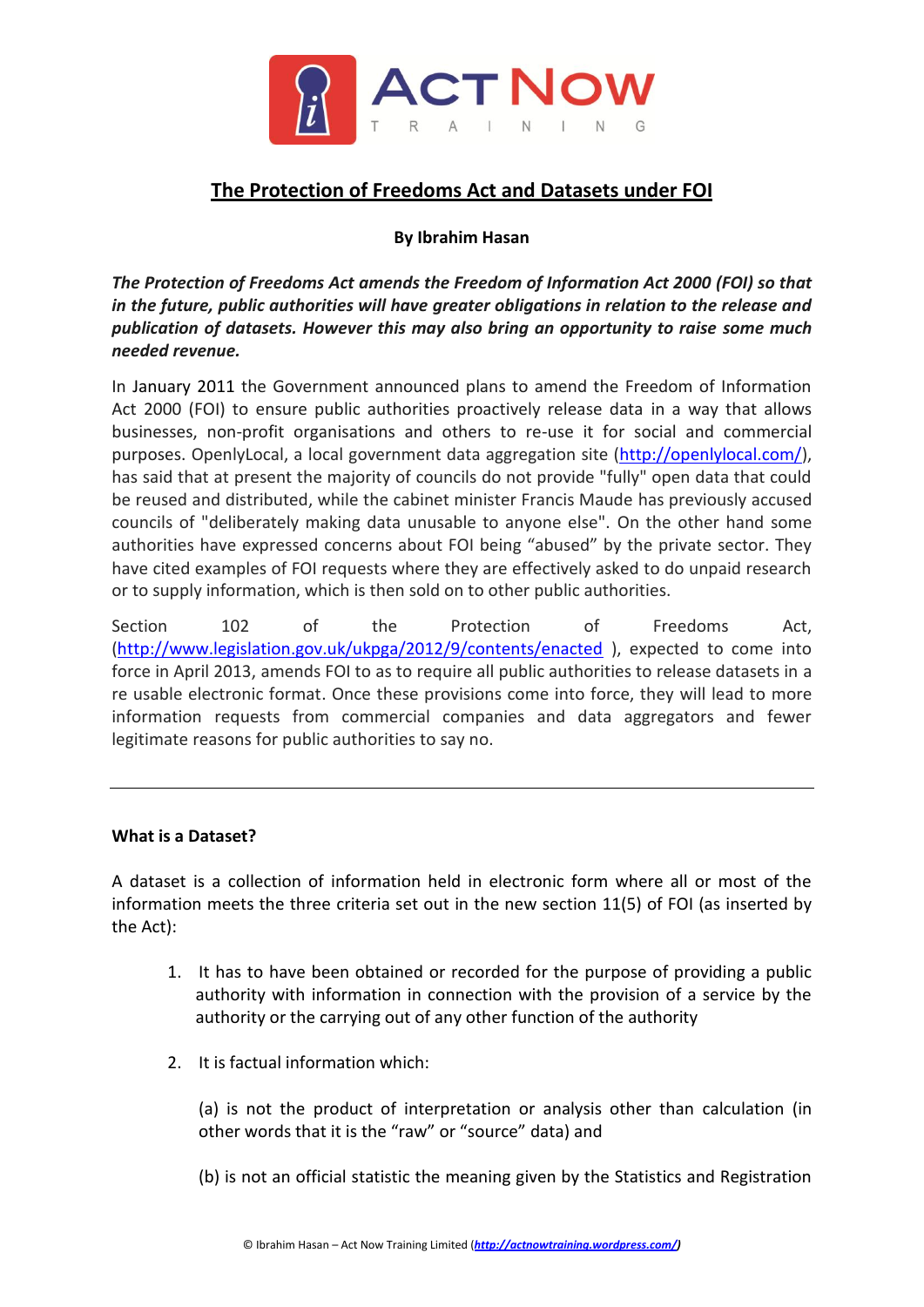

# **The Protection of Freedoms Act and Datasets under FOI**

### **By Ibrahim Hasan**

*The Protection of Freedoms Act amends the Freedom of Information Act 2000 (FOI) so that in the future, public authorities will have greater obligations in relation to the release and publication of datasets. However this may also bring an opportunity to raise some much needed revenue.*

In January 2011 the Government announced plans to amend the Freedom of Information Act 2000 (FOI) to ensure public authorities proactively release data in a way that allows businesses, non-profit organisations and others to re-use it for social and commercial purposes. OpenlyLocal, a local government data aggregation site [\(http://openlylocal.com/\)](http://openlylocal.com/), has said that at present the majority of councils do not provide "fully" open data that could be reused and distributed, while the cabinet minister Francis Maude has previously accused councils of "deliberately making data unusable to anyone else". On the other hand some authorities have expressed concerns about FOI being "abused" by the private sector. They have cited examples of FOI requests where they are effectively asked to do unpaid research or to supply information, which is then sold on to other public authorities.

Section 102 of the Protection of Freedoms Act, [\(http://www.legislation.gov.uk/ukpga/2012/9/contents/enacted](http://www.legislation.gov.uk/ukpga/2012/9/contents/enacted) ), expected to come into force in April 2013, amends FOI to as to require all public authorities to release datasets in a re usable electronic format. Once these provisions come into force, they will lead to more information requests from commercial companies and data aggregators and fewer legitimate reasons for public authorities to say no.

### **What is a Dataset?**

A dataset is a collection of information held in electronic form where all or most of the information meets the three criteria set out in the new section 11(5) of FOI (as inserted by the Act):

- 1. It has to have been obtained or recorded for the purpose of providing a public authority with information in connection with the provision of a service by the authority or the carrying out of any other function of the authority
- 2. It is factual information which:

(a) is not the product of interpretation or analysis other than calculation (in other words that it is the "raw" or "source" data) and

(b) is not an official statistic the meaning given by the Statistics and Registration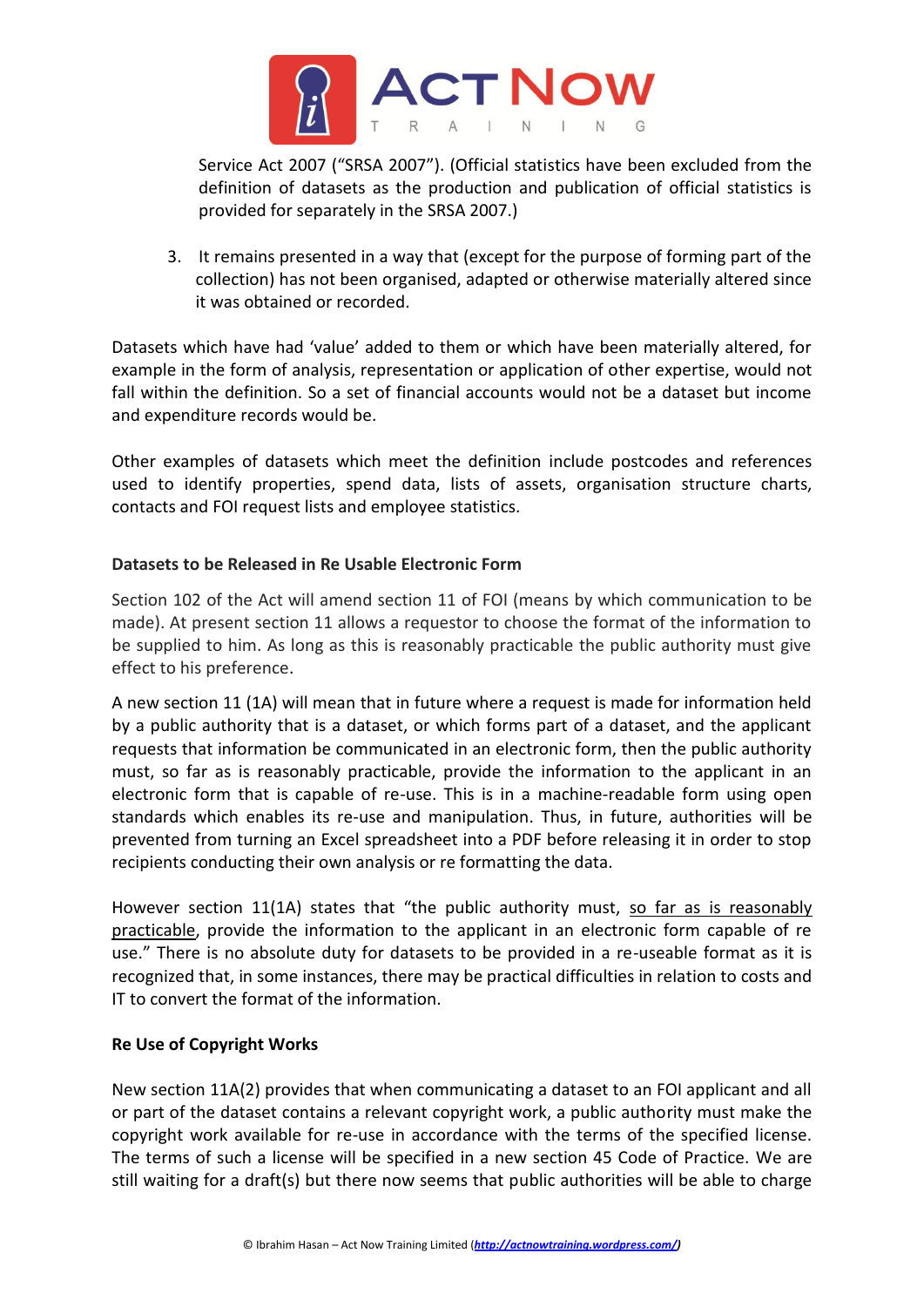

Service Act 2007 ("SRSA 2007"). (Official statistics have been excluded from the definition of datasets as the production and publication of official statistics is provided for separately in the SRSA 2007.)

3. It remains presented in a way that (except for the purpose of forming part of the collection) has not been organised, adapted or otherwise materially altered since it was obtained or recorded.

Datasets which have had 'value' added to them or which have been materially altered, for example in the form of analysis, representation or application of other expertise, would not fall within the definition. So a set of financial accounts would not be a dataset but income and expenditure records would be.

Other examples of datasets which meet the definition include postcodes and references used to identify properties, spend data, lists of assets, organisation structure charts, contacts and FOI request lists and employee statistics.

### **Datasets to be Released in Re Usable Electronic Form**

Section 102 of the Act will amend section 11 of FOI (means by which communication to be made). At present section 11 allows a requestor to choose the format of the information to be supplied to him. As long as this is reasonably practicable the public authority must give effect to his preference.

A new section 11 (1A) will mean that in future where a request is made for information held by a public authority that is a dataset, or which forms part of a dataset, and the applicant requests that information be communicated in an electronic form, then the public authority must, so far as is reasonably practicable, provide the information to the applicant in an electronic form that is capable of re-use. This is in a machine-readable form using open standards which enables its re-use and manipulation. Thus, in future, authorities will be prevented from turning an Excel spreadsheet into a PDF before releasing it in order to stop recipients conducting their own analysis or re formatting the data.

However section 11(1A) states that "the public authority must, so far as is reasonably practicable, provide the information to the applicant in an electronic form capable of re use." There is no absolute duty for datasets to be provided in a re-useable format as it is recognized that, in some instances, there may be practical difficulties in relation to costs and IT to convert the format of the information.

### **Re Use of Copyright Works**

New section 11A(2) provides that when communicating a dataset to an FOI applicant and all or part of the dataset contains a relevant copyright work, a public authority must make the copyright work available for re-use in accordance with the terms of the specified license. The terms of such a license will be specified in a new section 45 Code of Practice. We are still waiting for a draft(s) but there now seems that public authorities will be able to charge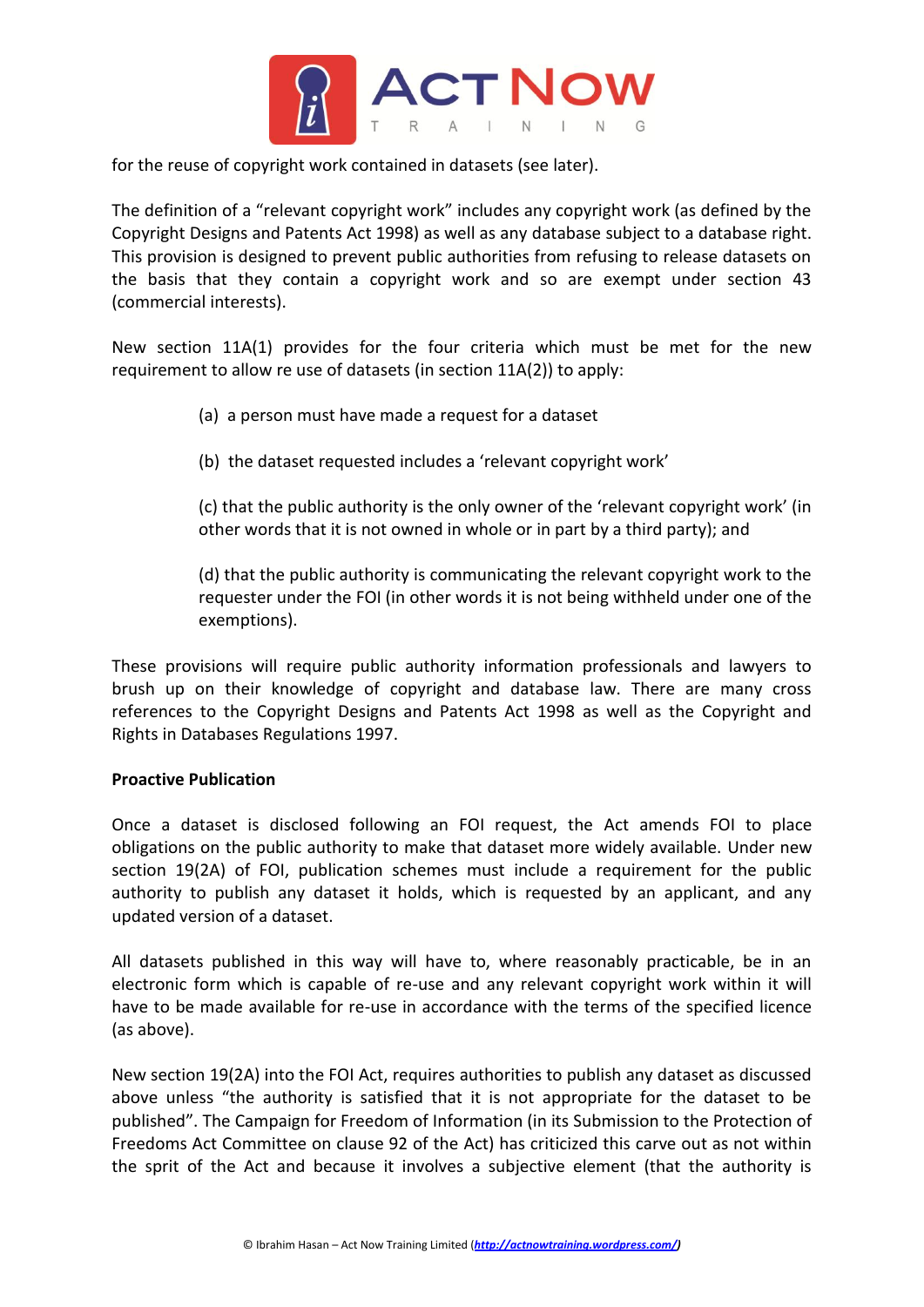

for the reuse of copyright work contained in datasets (see later).

The definition of a "relevant copyright work" includes any copyright work (as defined by the Copyright Designs and Patents Act 1998) as well as any database subject to a database right. This provision is designed to prevent public authorities from refusing to release datasets on the basis that they contain a copyright work and so are exempt under section 43 (commercial interests).

New section 11A(1) provides for the four criteria which must be met for the new requirement to allow re use of datasets (in section 11A(2)) to apply:

- (a) a person must have made a request for a dataset
- (b) the dataset requested includes a 'relevant copyright work'

(c) that the public authority is the only owner of the 'relevant copyright work' (in other words that it is not owned in whole or in part by a third party); and

(d) that the public authority is communicating the relevant copyright work to the requester under the FOI (in other words it is not being withheld under one of the exemptions).

These provisions will require public authority information professionals and lawyers to brush up on their knowledge of copyright and database law. There are many cross references to the Copyright Designs and Patents Act 1998 as well as the Copyright and Rights in Databases Regulations 1997.

### **Proactive Publication**

Once a dataset is disclosed following an FOI request, the Act amends FOI to place obligations on the public authority to make that dataset more widely available. Under new section 19(2A) of FOI, publication schemes must include a requirement for the public authority to publish any dataset it holds, which is requested by an applicant, and any updated version of a dataset.

All datasets published in this way will have to, where reasonably practicable, be in an electronic form which is capable of re-use and any relevant copyright work within it will have to be made available for re-use in accordance with the terms of the specified licence (as above).

New section 19(2A) into the FOI Act, requires authorities to publish any dataset as discussed above unless "the authority is satisfied that it is not appropriate for the dataset to be published". The Campaign for Freedom of Information (in its Submission to the Protection of Freedoms Act Committee on clause 92 of the Act) has criticized this carve out as not within the sprit of the Act and because it involves a subjective element (that the authority is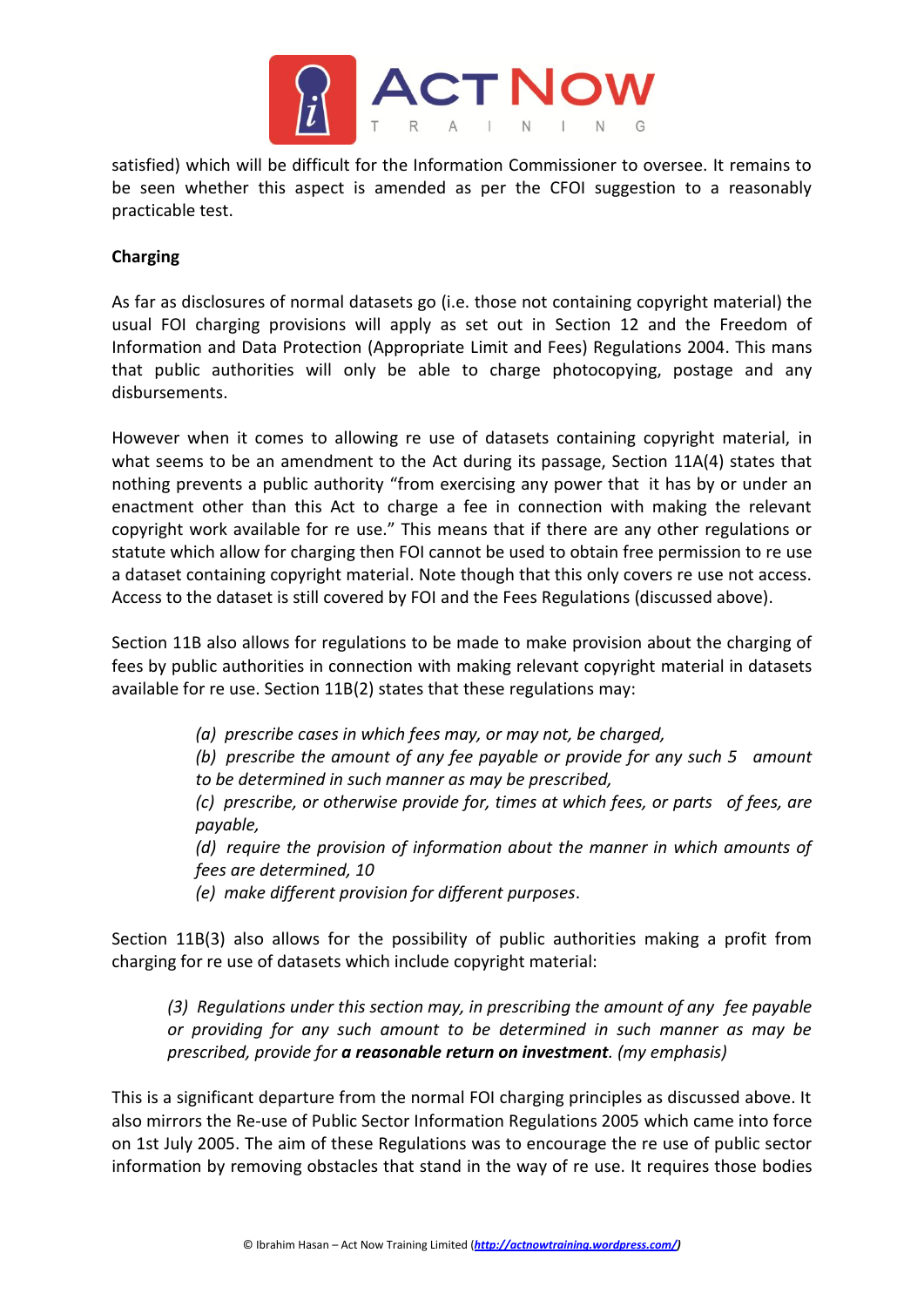

satisfied) which will be difficult for the Information Commissioner to oversee. It remains to be seen whether this aspect is amended as per the CFOI suggestion to a reasonably practicable test.

## **Charging**

As far as disclosures of normal datasets go (i.e. those not containing copyright material) the usual FOI charging provisions will apply as set out in Section 12 and the Freedom of Information and Data Protection (Appropriate Limit and Fees) Regulations 2004. This mans that public authorities will only be able to charge photocopying, postage and any disbursements.

However when it comes to allowing re use of datasets containing copyright material, in what seems to be an amendment to the Act during its passage, Section 11A(4) states that nothing prevents a public authority "from exercising any power that it has by or under an enactment other than this Act to charge a fee in connection with making the relevant copyright work available for re use." This means that if there are any other regulations or statute which allow for charging then FOI cannot be used to obtain free permission to re use a dataset containing copyright material. Note though that this only covers re use not access. Access to the dataset is still covered by FOI and the Fees Regulations (discussed above).

Section 11B also allows for regulations to be made to make provision about the charging of fees by public authorities in connection with making relevant copyright material in datasets available for re use. Section 11B(2) states that these regulations may:

*(a) prescribe cases in which fees may, or may not, be charged,* 

*(b) prescribe the amount of any fee payable or provide for any such 5 amount to be determined in such manner as may be prescribed,* 

*(c) prescribe, or otherwise provide for, times at which fees, or parts of fees, are payable,* 

*(d) require the provision of information about the manner in which amounts of fees are determined, 10* 

*(e) make different provision for different purposes*.

Section 11B(3) also allows for the possibility of public authorities making a profit from charging for re use of datasets which include copyright material:

*(3) Regulations under this section may, in prescribing the amount of any fee payable or providing for any such amount to be determined in such manner as may be prescribed, provide for a reasonable return on investment. (my emphasis)*

This is a significant departure from the normal FOI charging principles as discussed above. It also mirrors the Re-use of Public Sector Information Regulations 2005 which came into force on 1st July 2005. The aim of these Regulations was to encourage the re use of public sector information by removing obstacles that stand in the way of re use. It requires those bodies